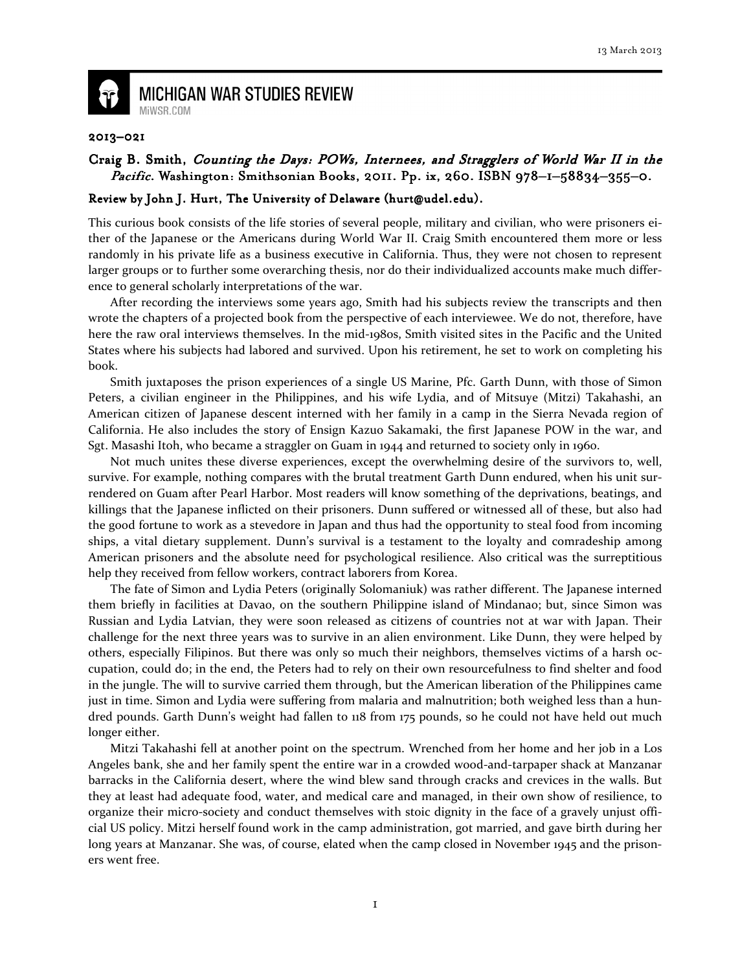

## **MICHIGAN WAR STUDIES REVIEW** MiWSR.COM

## 2013–021

## Craig B. Smith, Counting the Days: POWs, Internees, and Stragglers of World War II in the *Pacific.* Washington: Smithsonian Books, 2011. Pp. ix, 260. ISBN 978-1-58834-355-0.

## Review by John J. Hurt, The University of Delaware (hurt@udel.edu).

This curious book consists of the life stories of several people, military and civilian, who were prisoners either of the Japanese or the Americans during World War II. Craig Smith encountered them more or less randomly in his private life as a business executive in California. Thus, they were not chosen to represent larger groups or to further some overarching thesis, nor do their individualized accounts make much difference to general scholarly interpretations of the war.

After recording the interviews some years ago, Smith had his subjects review the transcripts and then wrote the chapters of a projected book from the perspective of each interviewee. We do not, therefore, have here the raw oral interviews themselves. In the mid-1980s, Smith visited sites in the Pacific and the United States where his subjects had labored and survived. Upon his retirement, he set to work on completing his book.

Smith juxtaposes the prison experiences of a single US Marine, Pfc. Garth Dunn, with those of Simon Peters, a civilian engineer in the Philippines, and his wife Lydia, and of Mitsuye (Mitzi) Takahashi, an American citizen of Japanese descent interned with her family in a camp in the Sierra Nevada region of California. He also includes the story of Ensign Kazuo Sakamaki, the first Japanese POW in the war, and Sgt. Masashi Itoh, who became a straggler on Guam in 1944 and returned to society only in 1960.

 Not much unites these diverse experiences, except the overwhelming desire of the survivors to, well, survive. For example, nothing compares with the brutal treatment Garth Dunn endured, when his unit surrendered on Guam after Pearl Harbor. Most readers will know something of the deprivations, beatings, and killings that the Japanese inflicted on their prisoners. Dunn suffered or witnessed all of these, but also had the good fortune to work as a stevedore in Japan and thus had the opportunity to steal food from incoming ships, a vital dietary supplement. Dunn's survival is a testament to the loyalty and comradeship among American prisoners and the absolute need for psychological resilience. Also critical was the surreptitious help they received from fellow workers, contract laborers from Korea.

 The fate of Simon and Lydia Peters (originally Solomaniuk) was rather different. The Japanese interned them briefly in facilities at Davao, on the southern Philippine island of Mindanao; but, since Simon was Russian and Lydia Latvian, they were soon released as citizens of countries not at war with Japan. Their challenge for the next three years was to survive in an alien environment. Like Dunn, they were helped by others, especially Filipinos. But there was only so much their neighbors, themselves victims of a harsh occupation, could do; in the end, the Peters had to rely on their own resourcefulness to find shelter and food in the jungle. The will to survive carried them through, but the American liberation of the Philippines came just in time. Simon and Lydia were suffering from malaria and malnutrition; both weighed less than a hundred pounds. Garth Dunn's weight had fallen to 118 from 175 pounds, so he could not have held out much longer either.

 Mitzi Takahashi fell at another point on the spectrum. Wrenched from her home and her job in a Los Angeles bank, she and her family spent the entire war in a crowded wood-and-tarpaper shack at Manzanar barracks in the California desert, where the wind blew sand through cracks and crevices in the walls. But they at least had adequate food, water, and medical care and managed, in their own show of resilience, to organize their micro-society and conduct themselves with stoic dignity in the face of a gravely unjust official US policy. Mitzi herself found work in the camp administration, got married, and gave birth during her long years at Manzanar. She was, of course, elated when the camp closed in November 1945 and the prisoners went free.